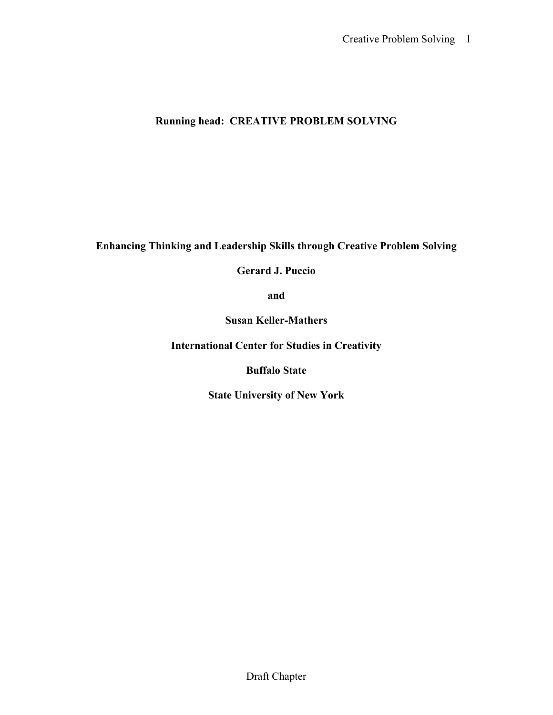# **Running head: CREATIVE PROBLEM SOLVING**

**Enhancing Thinking and Leadership Skills through Creative Problem Solving** 

**Gerard J. Puccio** 

**and** 

**Susan Keller-Mathers** 

**International Center for Studies in Creativity**

**Buffalo State** 

**State University of New York**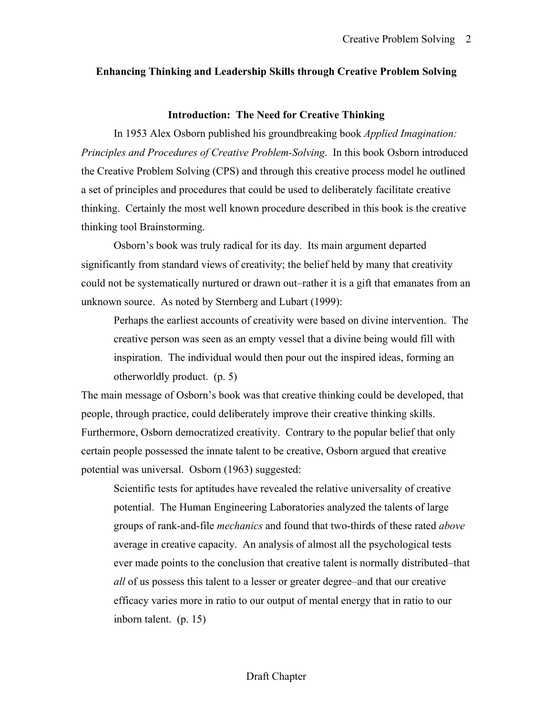## **Enhancing Thinking and Leadership Skills through Creative Problem Solving**

## **Introduction: The Need for Creative Thinking**

In 1953 Alex Osborn published his groundbreaking book *Applied Imagination: Principles and Procedures of Creative Problem-Solving*. In this book Osborn introduced the Creative Problem Solving (CPS) and through this creative process model he outlined a set of principles and procedures that could be used to deliberately facilitate creative thinking. Certainly the most well known procedure described in this book is the creative thinking tool Brainstorming.

Osborn's book was truly radical for its day. Its main argument departed significantly from standard views of creativity; the belief held by many that creativity could not be systematically nurtured or drawn out–rather it is a gift that emanates from an unknown source. As noted by Sternberg and Lubart (1999):

Perhaps the earliest accounts of creativity were based on divine intervention. The creative person was seen as an empty vessel that a divine being would fill with inspiration. The individual would then pour out the inspired ideas, forming an otherworldly product. (p. 5)

The main message of Osborn's book was that creative thinking could be developed, that people, through practice, could deliberately improve their creative thinking skills. Furthermore, Osborn democratized creativity. Contrary to the popular belief that only certain people possessed the innate talent to be creative, Osborn argued that creative potential was universal. Osborn (1963) suggested:

Scientific tests for aptitudes have revealed the relative universality of creative potential. The Human Engineering Laboratories analyzed the talents of large groups of rank-and-file *mechanics* and found that two-thirds of these rated *above*  average in creative capacity. An analysis of almost all the psychological tests ever made points to the conclusion that creative talent is normally distributed–that *all* of us possess this talent to a lesser or greater degree–and that our creative efficacy varies more in ratio to our output of mental energy that in ratio to our inborn talent. (p. 15)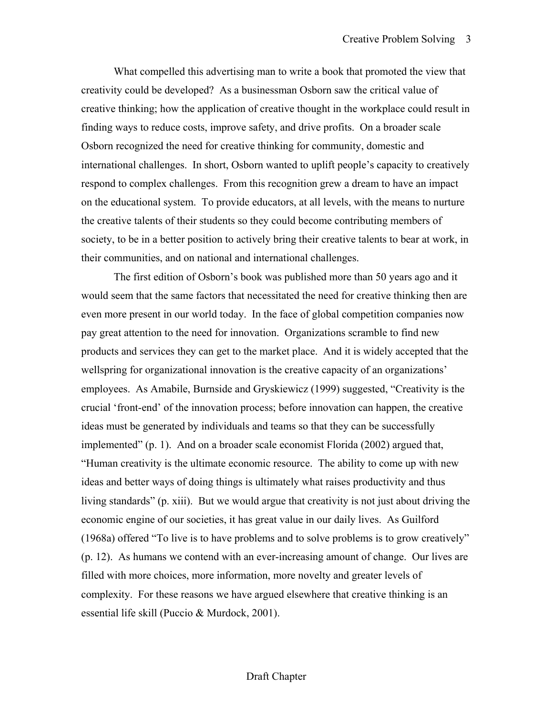What compelled this advertising man to write a book that promoted the view that creativity could be developed? As a businessman Osborn saw the critical value of creative thinking; how the application of creative thought in the workplace could result in finding ways to reduce costs, improve safety, and drive profits. On a broader scale Osborn recognized the need for creative thinking for community, domestic and international challenges. In short, Osborn wanted to uplift people's capacity to creatively respond to complex challenges. From this recognition grew a dream to have an impact on the educational system. To provide educators, at all levels, with the means to nurture the creative talents of their students so they could become contributing members of society, to be in a better position to actively bring their creative talents to bear at work, in their communities, and on national and international challenges.

The first edition of Osborn's book was published more than 50 years ago and it would seem that the same factors that necessitated the need for creative thinking then are even more present in our world today. In the face of global competition companies now pay great attention to the need for innovation. Organizations scramble to find new products and services they can get to the market place. And it is widely accepted that the wellspring for organizational innovation is the creative capacity of an organizations' employees. As Amabile, Burnside and Gryskiewicz (1999) suggested, "Creativity is the crucial 'front-end' of the innovation process; before innovation can happen, the creative ideas must be generated by individuals and teams so that they can be successfully implemented" (p. 1). And on a broader scale economist Florida (2002) argued that, "Human creativity is the ultimate economic resource. The ability to come up with new ideas and better ways of doing things is ultimately what raises productivity and thus living standards" (p. xiii). But we would argue that creativity is not just about driving the economic engine of our societies, it has great value in our daily lives. As Guilford (1968a) offered "To live is to have problems and to solve problems is to grow creatively" (p. 12). As humans we contend with an ever-increasing amount of change. Our lives are filled with more choices, more information, more novelty and greater levels of complexity. For these reasons we have argued elsewhere that creative thinking is an essential life skill (Puccio & Murdock, 2001).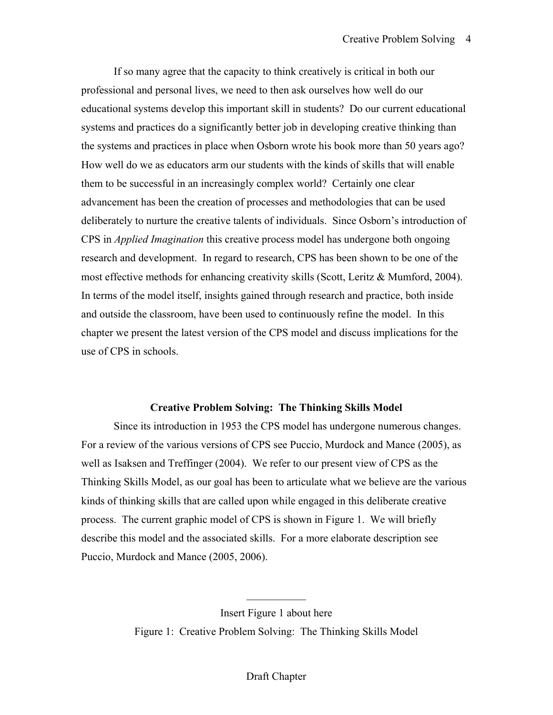If so many agree that the capacity to think creatively is critical in both our professional and personal lives, we need to then ask ourselves how well do our educational systems develop this important skill in students? Do our current educational systems and practices do a significantly better job in developing creative thinking than the systems and practices in place when Osborn wrote his book more than 50 years ago? How well do we as educators arm our students with the kinds of skills that will enable them to be successful in an increasingly complex world? Certainly one clear advancement has been the creation of processes and methodologies that can be used deliberately to nurture the creative talents of individuals. Since Osborn's introduction of CPS in *Applied Imagination* this creative process model has undergone both ongoing research and development. In regard to research, CPS has been shown to be one of the most effective methods for enhancing creativity skills (Scott, Leritz & Mumford, 2004). In terms of the model itself, insights gained through research and practice, both inside and outside the classroom, have been used to continuously refine the model. In this chapter we present the latest version of the CPS model and discuss implications for the use of CPS in schools.

## **Creative Problem Solving: The Thinking Skills Model**

Since its introduction in 1953 the CPS model has undergone numerous changes. For a review of the various versions of CPS see Puccio, Murdock and Mance (2005), as well as Isaksen and Treffinger (2004). We refer to our present view of CPS as the Thinking Skills Model, as our goal has been to articulate what we believe are the various kinds of thinking skills that are called upon while engaged in this deliberate creative process. The current graphic model of CPS is shown in Figure 1. We will briefly describe this model and the associated skills. For a more elaborate description see Puccio, Murdock and Mance (2005, 2006).

> Insert Figure 1 about here Figure 1: Creative Problem Solving: The Thinking Skills Model

 $\frac{1}{2}$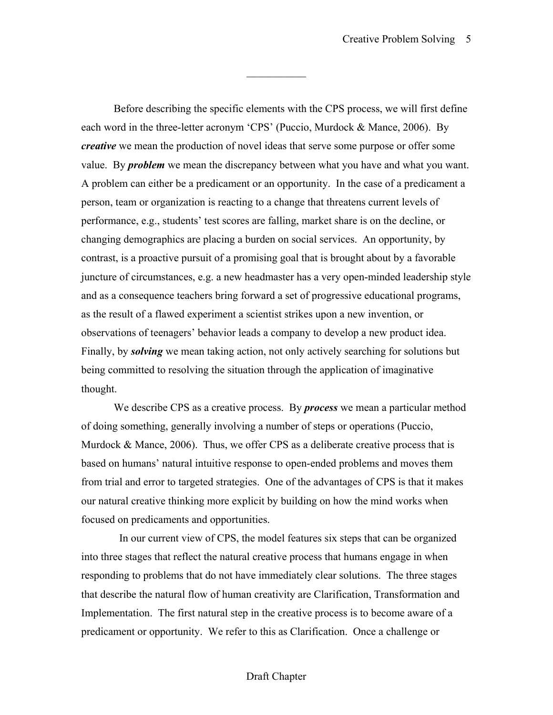Before describing the specific elements with the CPS process, we will first define each word in the three-letter acronym 'CPS' (Puccio, Murdock & Mance, 2006). By *creative* we mean the production of novel ideas that serve some purpose or offer some value. By *problem* we mean the discrepancy between what you have and what you want. A problem can either be a predicament or an opportunity. In the case of a predicament a person, team or organization is reacting to a change that threatens current levels of performance, e.g., students' test scores are falling, market share is on the decline, or changing demographics are placing a burden on social services. An opportunity, by contrast, is a proactive pursuit of a promising goal that is brought about by a favorable juncture of circumstances, e.g. a new headmaster has a very open-minded leadership style and as a consequence teachers bring forward a set of progressive educational programs, as the result of a flawed experiment a scientist strikes upon a new invention, or observations of teenagers' behavior leads a company to develop a new product idea. Finally, by *solving* we mean taking action, not only actively searching for solutions but being committed to resolving the situation through the application of imaginative thought.

 $\frac{1}{2}$ 

We describe CPS as a creative process. By *process* we mean a particular method of doing something, generally involving a number of steps or operations (Puccio, Murdock & Mance, 2006).Thus, we offer CPS as a deliberate creative process that is based on humans' natural intuitive response to open-ended problems and moves them from trial and error to targeted strategies. One of the advantages of CPS is that it makes our natural creative thinking more explicit by building on how the mind works when focused on predicaments and opportunities.

 In our current view of CPS, the model features six steps that can be organized into three stages that reflect the natural creative process that humans engage in when responding to problems that do not have immediately clear solutions. The three stages that describe the natural flow of human creativity are Clarification, Transformation and Implementation. The first natural step in the creative process is to become aware of a predicament or opportunity. We refer to this as Clarification. Once a challenge or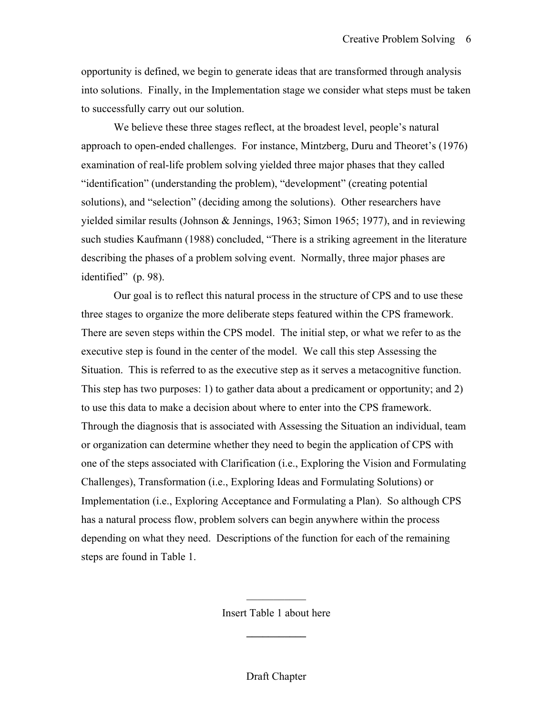opportunity is defined, we begin to generate ideas that are transformed through analysis into solutions. Finally, in the Implementation stage we consider what steps must be taken to successfully carry out our solution.

We believe these three stages reflect, at the broadest level, people's natural approach to open-ended challenges. For instance, Mintzberg, Duru and Theoret's (1976) examination of real-life problem solving yielded three major phases that they called "identification" (understanding the problem), "development" (creating potential solutions), and "selection" (deciding among the solutions). Other researchers have yielded similar results (Johnson & Jennings, 1963; Simon 1965; 1977), and in reviewing such studies Kaufmann (1988) concluded, "There is a striking agreement in the literature describing the phases of a problem solving event. Normally, three major phases are identified" (p. 98).

Our goal is to reflect this natural process in the structure of CPS and to use these three stages to organize the more deliberate steps featured within the CPS framework. There are seven steps within the CPS model. The initial step, or what we refer to as the executive step is found in the center of the model. We call this step Assessing the Situation. This is referred to as the executive step as it serves a metacognitive function. This step has two purposes: 1) to gather data about a predicament or opportunity; and 2) to use this data to make a decision about where to enter into the CPS framework. Through the diagnosis that is associated with Assessing the Situation an individual, team or organization can determine whether they need to begin the application of CPS with one of the steps associated with Clarification (i.e., Exploring the Vision and Formulating Challenges), Transformation (i.e., Exploring Ideas and Formulating Solutions) or Implementation (i.e., Exploring Acceptance and Formulating a Plan). So although CPS has a natural process flow, problem solvers can begin anywhere within the process depending on what they need. Descriptions of the function for each of the remaining steps are found in Table 1.

Insert Table 1 about here

**\_\_\_\_\_\_\_\_\_\_\_** 

 $\frac{1}{2}$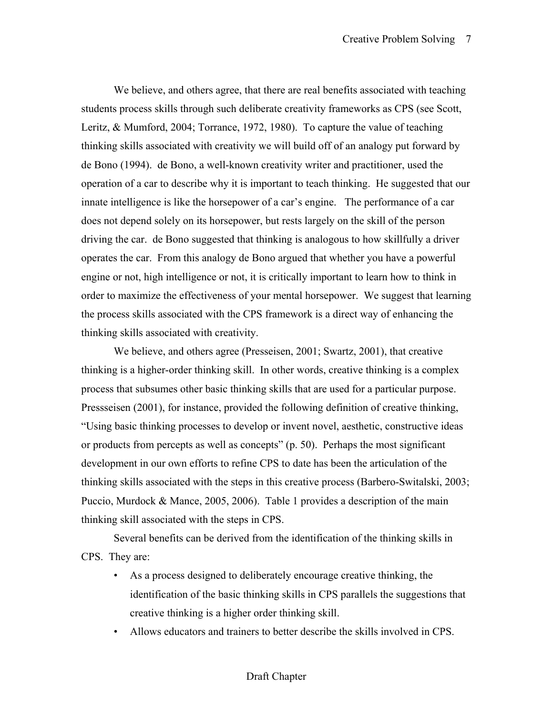We believe, and others agree, that there are real benefits associated with teaching students process skills through such deliberate creativity frameworks as CPS (see Scott, Leritz, & Mumford, 2004; Torrance, 1972, 1980). To capture the value of teaching thinking skills associated with creativity we will build off of an analogy put forward by de Bono (1994). de Bono, a well-known creativity writer and practitioner, used the operation of a car to describe why it is important to teach thinking. He suggested that our innate intelligence is like the horsepower of a car's engine. The performance of a car does not depend solely on its horsepower, but rests largely on the skill of the person driving the car. de Bono suggested that thinking is analogous to how skillfully a driver operates the car. From this analogy de Bono argued that whether you have a powerful engine or not, high intelligence or not, it is critically important to learn how to think in order to maximize the effectiveness of your mental horsepower. We suggest that learning the process skills associated with the CPS framework is a direct way of enhancing the thinking skills associated with creativity.

We believe, and others agree (Presseisen, 2001; Swartz, 2001), that creative thinking is a higher-order thinking skill. In other words, creative thinking is a complex process that subsumes other basic thinking skills that are used for a particular purpose. Pressseisen (2001), for instance, provided the following definition of creative thinking, "Using basic thinking processes to develop or invent novel, aesthetic, constructive ideas or products from percepts as well as concepts" (p. 50). Perhaps the most significant development in our own efforts to refine CPS to date has been the articulation of the thinking skills associated with the steps in this creative process (Barbero-Switalski, 2003; Puccio, Murdock & Mance, 2005, 2006). Table 1 provides a description of the main thinking skill associated with the steps in CPS.

Several benefits can be derived from the identification of the thinking skills in CPS. They are:

- As a process designed to deliberately encourage creative thinking, the identification of the basic thinking skills in CPS parallels the suggestions that creative thinking is a higher order thinking skill.
- Allows educators and trainers to better describe the skills involved in CPS.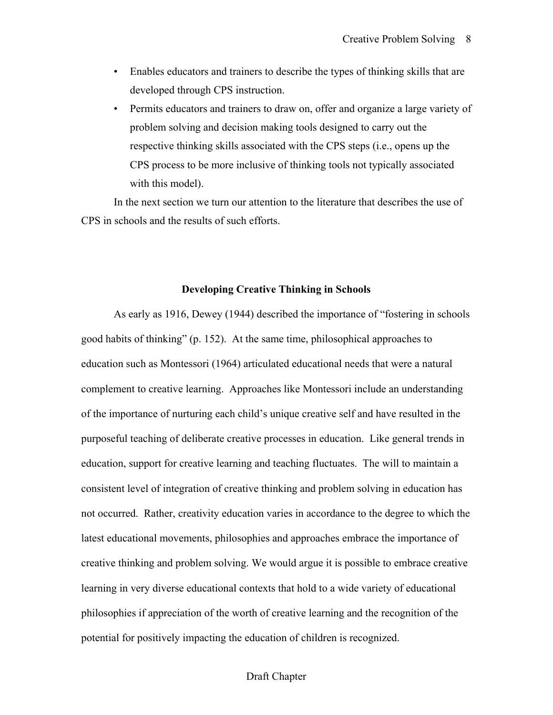- Enables educators and trainers to describe the types of thinking skills that are developed through CPS instruction.
- Permits educators and trainers to draw on, offer and organize a large variety of problem solving and decision making tools designed to carry out the respective thinking skills associated with the CPS steps (i.e., opens up the CPS process to be more inclusive of thinking tools not typically associated with this model).

In the next section we turn our attention to the literature that describes the use of CPS in schools and the results of such efforts.

## **Developing Creative Thinking in Schools**

As early as 1916, Dewey (1944) described the importance of "fostering in schools good habits of thinking" (p. 152). At the same time, philosophical approaches to education such as Montessori (1964) articulated educational needs that were a natural complement to creative learning. Approaches like Montessori include an understanding of the importance of nurturing each child's unique creative self and have resulted in the purposeful teaching of deliberate creative processes in education. Like general trends in education, support for creative learning and teaching fluctuates. The will to maintain a consistent level of integration of creative thinking and problem solving in education has not occurred. Rather, creativity education varies in accordance to the degree to which the latest educational movements, philosophies and approaches embrace the importance of creative thinking and problem solving. We would argue it is possible to embrace creative learning in very diverse educational contexts that hold to a wide variety of educational philosophies if appreciation of the worth of creative learning and the recognition of the potential for positively impacting the education of children is recognized.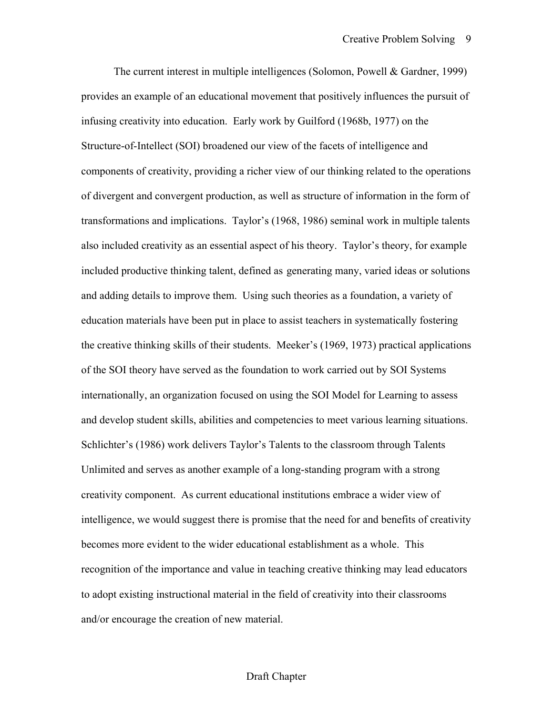The current interest in multiple intelligences (Solomon, Powell & Gardner, 1999) provides an example of an educational movement that positively influences the pursuit of infusing creativity into education. Early work by Guilford (1968b, 1977) on the Structure-of-Intellect (SOI) broadened our view of the facets of intelligence and components of creativity, providing a richer view of our thinking related to the operations of divergent and convergent production, as well as structure of information in the form of transformations and implications. Taylor's (1968, 1986) seminal work in multiple talents also included creativity as an essential aspect of his theory. Taylor's theory, for example included productive thinking talent, defined as generating many, varied ideas or solutions and adding details to improve them. Using such theories as a foundation, a variety of education materials have been put in place to assist teachers in systematically fostering the creative thinking skills of their students. Meeker's (1969, 1973) practical applications of the SOI theory have served as the foundation to work carried out by SOI Systems internationally, an organization focused on using the SOI Model for Learning to assess and develop student skills, abilities and competencies to meet various learning situations. Schlichter's (1986) work delivers Taylor's Talents to the classroom through Talents Unlimited and serves as another example of a long-standing program with a strong creativity component. As current educational institutions embrace a wider view of intelligence, we would suggest there is promise that the need for and benefits of creativity becomes more evident to the wider educational establishment as a whole. This recognition of the importance and value in teaching creative thinking may lead educators to adopt existing instructional material in the field of creativity into their classrooms and/or encourage the creation of new material.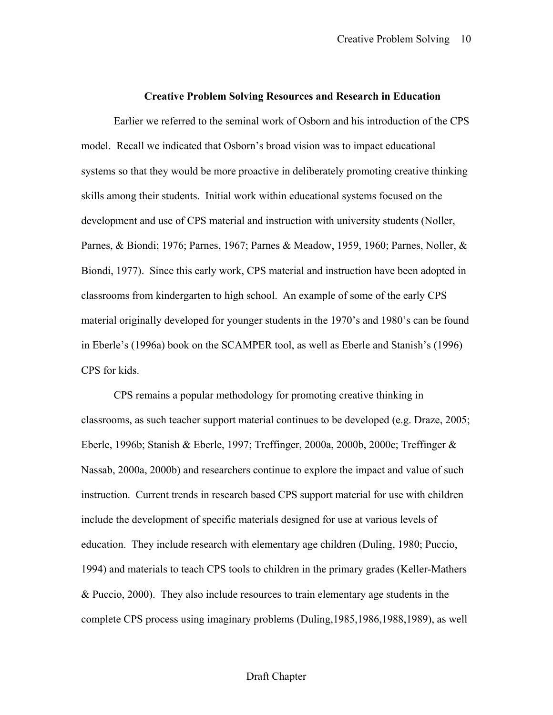#### **Creative Problem Solving Resources and Research in Education**

Earlier we referred to the seminal work of Osborn and his introduction of the CPS model. Recall we indicated that Osborn's broad vision was to impact educational systems so that they would be more proactive in deliberately promoting creative thinking skills among their students. Initial work within educational systems focused on the development and use of CPS material and instruction with university students (Noller, Parnes, & Biondi; 1976; Parnes, 1967; Parnes & Meadow, 1959, 1960; Parnes, Noller, & Biondi, 1977). Since this early work, CPS material and instruction have been adopted in classrooms from kindergarten to high school. An example of some of the early CPS material originally developed for younger students in the 1970's and 1980's can be found in Eberle's (1996a) book on the SCAMPER tool, as well as Eberle and Stanish's (1996) CPS for kids.

CPS remains a popular methodology for promoting creative thinking in classrooms, as such teacher support material continues to be developed (e.g. Draze, 2005; Eberle, 1996b; Stanish & Eberle, 1997; Treffinger, 2000a, 2000b, 2000c; Treffinger & Nassab, 2000a, 2000b) and researchers continue to explore the impact and value of such instruction. Current trends in research based CPS support material for use with children include the development of specific materials designed for use at various levels of education. They include research with elementary age children (Duling, 1980; Puccio, 1994) and materials to teach CPS tools to children in the primary grades (Keller-Mathers & Puccio, 2000). They also include resources to train elementary age students in the complete CPS process using imaginary problems (Duling,1985,1986,1988,1989), as well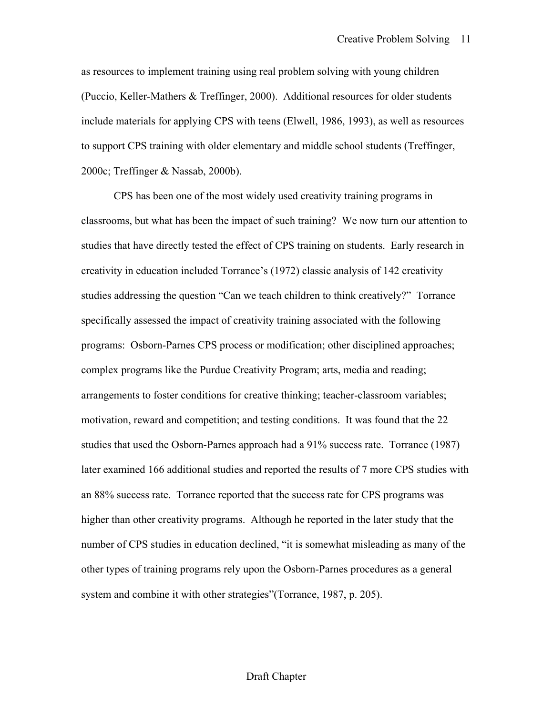as resources to implement training using real problem solving with young children (Puccio, Keller-Mathers & Treffinger, 2000). Additional resources for older students include materials for applying CPS with teens (Elwell, 1986, 1993), as well as resources to support CPS training with older elementary and middle school students (Treffinger, 2000c; Treffinger & Nassab, 2000b).

CPS has been one of the most widely used creativity training programs in classrooms, but what has been the impact of such training? We now turn our attention to studies that have directly tested the effect of CPS training on students. Early research in creativity in education included Torrance's (1972) classic analysis of 142 creativity studies addressing the question "Can we teach children to think creatively?" Torrance specifically assessed the impact of creativity training associated with the following programs: Osborn-Parnes CPS process or modification; other disciplined approaches; complex programs like the Purdue Creativity Program; arts, media and reading; arrangements to foster conditions for creative thinking; teacher-classroom variables; motivation, reward and competition; and testing conditions. It was found that the 22 studies that used the Osborn-Parnes approach had a 91% success rate. Torrance (1987) later examined 166 additional studies and reported the results of 7 more CPS studies with an 88% success rate. Torrance reported that the success rate for CPS programs was higher than other creativity programs. Although he reported in the later study that the number of CPS studies in education declined, "it is somewhat misleading as many of the other types of training programs rely upon the Osborn-Parnes procedures as a general system and combine it with other strategies"(Torrance, 1987, p. 205).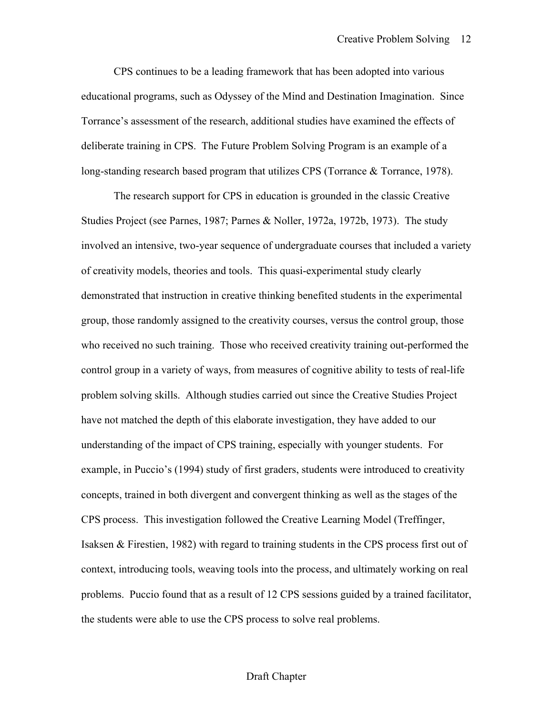CPS continues to be a leading framework that has been adopted into various educational programs, such as Odyssey of the Mind and Destination Imagination. Since Torrance's assessment of the research, additional studies have examined the effects of deliberate training in CPS. The Future Problem Solving Program is an example of a long-standing research based program that utilizes CPS (Torrance & Torrance, 1978).

The research support for CPS in education is grounded in the classic Creative Studies Project (see Parnes, 1987; Parnes & Noller, 1972a, 1972b, 1973). The study involved an intensive, two-year sequence of undergraduate courses that included a variety of creativity models, theories and tools. This quasi-experimental study clearly demonstrated that instruction in creative thinking benefited students in the experimental group, those randomly assigned to the creativity courses, versus the control group, those who received no such training. Those who received creativity training out-performed the control group in a variety of ways, from measures of cognitive ability to tests of real-life problem solving skills. Although studies carried out since the Creative Studies Project have not matched the depth of this elaborate investigation, they have added to our understanding of the impact of CPS training, especially with younger students. For example, in Puccio's (1994) study of first graders, students were introduced to creativity concepts, trained in both divergent and convergent thinking as well as the stages of the CPS process. This investigation followed the Creative Learning Model (Treffinger, Isaksen & Firestien, 1982) with regard to training students in the CPS process first out of context, introducing tools, weaving tools into the process, and ultimately working on real problems. Puccio found that as a result of 12 CPS sessions guided by a trained facilitator, the students were able to use the CPS process to solve real problems.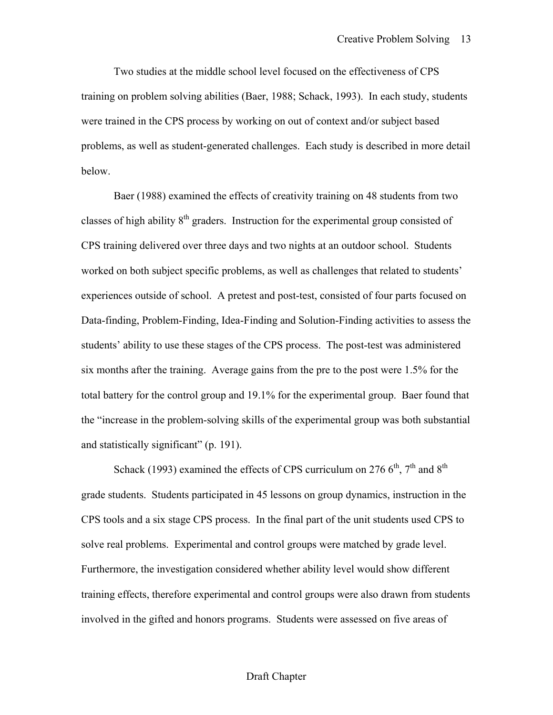Two studies at the middle school level focused on the effectiveness of CPS training on problem solving abilities (Baer, 1988; Schack, 1993). In each study, students were trained in the CPS process by working on out of context and/or subject based problems, as well as student-generated challenges. Each study is described in more detail below.

Baer (1988) examined the effects of creativity training on 48 students from two classes of high ability  $8<sup>th</sup>$  graders. Instruction for the experimental group consisted of CPS training delivered over three days and two nights at an outdoor school. Students worked on both subject specific problems, as well as challenges that related to students' experiences outside of school. A pretest and post-test, consisted of four parts focused on Data-finding, Problem-Finding, Idea-Finding and Solution-Finding activities to assess the students' ability to use these stages of the CPS process. The post-test was administered six months after the training. Average gains from the pre to the post were 1.5% for the total battery for the control group and 19.1% for the experimental group. Baer found that the "increase in the problem-solving skills of the experimental group was both substantial and statistically significant" (p. 191).

Schack (1993) examined the effects of CPS curriculum on 276  $6<sup>th</sup>$ ,  $7<sup>th</sup>$  and  $8<sup>th</sup>$ grade students. Students participated in 45 lessons on group dynamics, instruction in the CPS tools and a six stage CPS process. In the final part of the unit students used CPS to solve real problems. Experimental and control groups were matched by grade level. Furthermore, the investigation considered whether ability level would show different training effects, therefore experimental and control groups were also drawn from students involved in the gifted and honors programs. Students were assessed on five areas of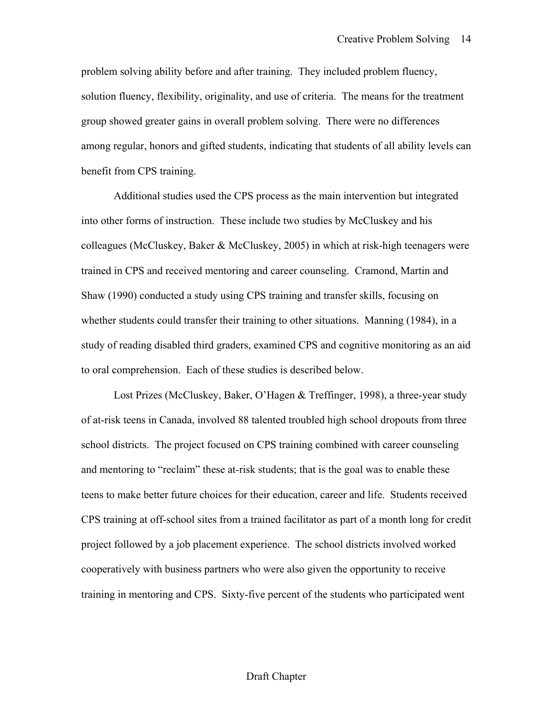problem solving ability before and after training. They included problem fluency, solution fluency, flexibility, originality, and use of criteria. The means for the treatment group showed greater gains in overall problem solving. There were no differences among regular, honors and gifted students, indicating that students of all ability levels can benefit from CPS training.

Additional studies used the CPS process as the main intervention but integrated into other forms of instruction. These include two studies by McCluskey and his colleagues (McCluskey, Baker & McCluskey, 2005) in which at risk-high teenagers were trained in CPS and received mentoring and career counseling. Cramond, Martin and Shaw (1990) conducted a study using CPS training and transfer skills, focusing on whether students could transfer their training to other situations. Manning (1984), in a study of reading disabled third graders, examined CPS and cognitive monitoring as an aid to oral comprehension. Each of these studies is described below.

Lost Prizes (McCluskey, Baker, O'Hagen & Treffinger, 1998), a three-year study of at-risk teens in Canada, involved 88 talented troubled high school dropouts from three school districts. The project focused on CPS training combined with career counseling and mentoring to "reclaim" these at-risk students; that is the goal was to enable these teens to make better future choices for their education, career and life. Students received CPS training at off-school sites from a trained facilitator as part of a month long for credit project followed by a job placement experience. The school districts involved worked cooperatively with business partners who were also given the opportunity to receive training in mentoring and CPS. Sixty-five percent of the students who participated went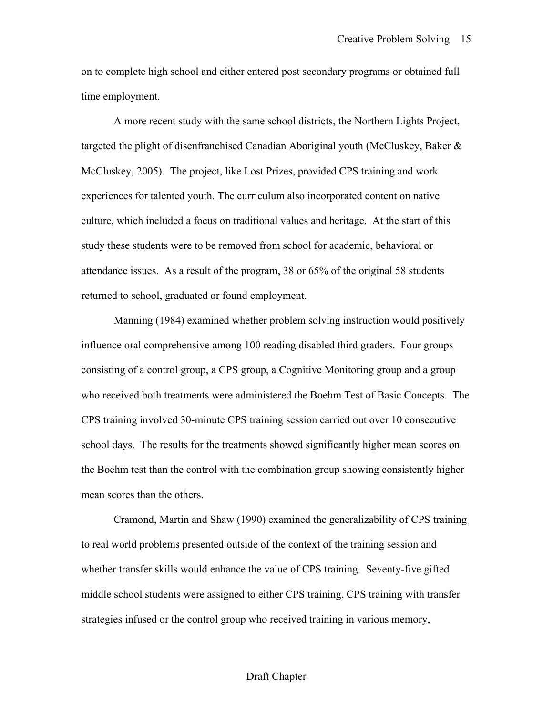on to complete high school and either entered post secondary programs or obtained full time employment.

A more recent study with the same school districts, the Northern Lights Project, targeted the plight of disenfranchised Canadian Aboriginal youth (McCluskey, Baker & McCluskey, 2005). The project, like Lost Prizes, provided CPS training and work experiences for talented youth. The curriculum also incorporated content on native culture, which included a focus on traditional values and heritage. At the start of this study these students were to be removed from school for academic, behavioral or attendance issues. As a result of the program, 38 or 65% of the original 58 students returned to school, graduated or found employment.

Manning (1984) examined whether problem solving instruction would positively influence oral comprehensive among 100 reading disabled third graders. Four groups consisting of a control group, a CPS group, a Cognitive Monitoring group and a group who received both treatments were administered the Boehm Test of Basic Concepts. The CPS training involved 30-minute CPS training session carried out over 10 consecutive school days. The results for the treatments showed significantly higher mean scores on the Boehm test than the control with the combination group showing consistently higher mean scores than the others.

Cramond, Martin and Shaw (1990) examined the generalizability of CPS training to real world problems presented outside of the context of the training session and whether transfer skills would enhance the value of CPS training. Seventy-five gifted middle school students were assigned to either CPS training, CPS training with transfer strategies infused or the control group who received training in various memory,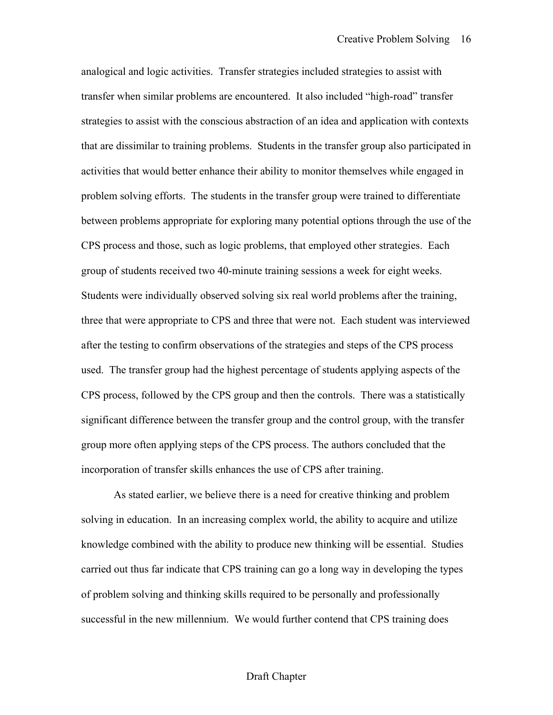analogical and logic activities. Transfer strategies included strategies to assist with transfer when similar problems are encountered. It also included "high-road" transfer strategies to assist with the conscious abstraction of an idea and application with contexts that are dissimilar to training problems. Students in the transfer group also participated in activities that would better enhance their ability to monitor themselves while engaged in problem solving efforts. The students in the transfer group were trained to differentiate between problems appropriate for exploring many potential options through the use of the CPS process and those, such as logic problems, that employed other strategies.Each group of students received two 40-minute training sessions a week for eight weeks. Students were individually observed solving six real world problems after the training, three that were appropriate to CPS and three that were not. Each student was interviewed after the testing to confirm observations of the strategies and steps of the CPS process used. The transfer group had the highest percentage of students applying aspects of the CPS process, followed by the CPS group and then the controls. There was a statistically significant difference between the transfer group and the control group, with the transfer group more often applying steps of the CPS process. The authors concluded that the incorporation of transfer skills enhances the use of CPS after training.

As stated earlier, we believe there is a need for creative thinking and problem solving in education. In an increasing complex world, the ability to acquire and utilize knowledge combined with the ability to produce new thinking will be essential. Studies carried out thus far indicate that CPS training can go a long way in developing the types of problem solving and thinking skills required to be personally and professionally successful in the new millennium. We would further contend that CPS training does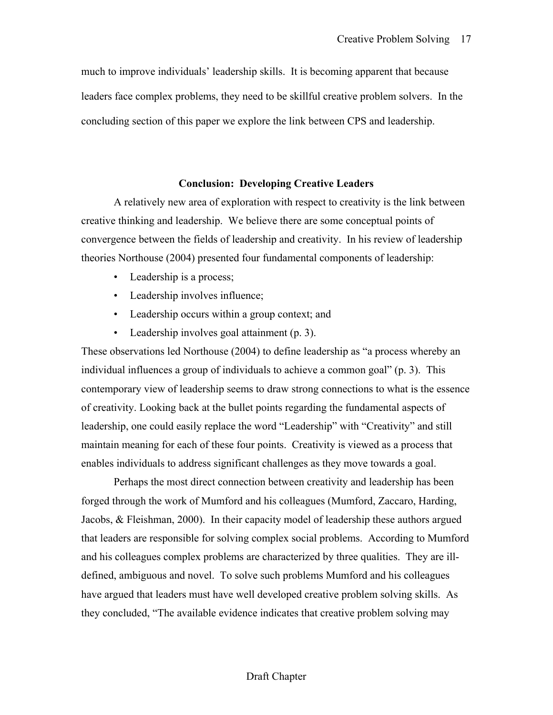much to improve individuals' leadership skills. It is becoming apparent that because leaders face complex problems, they need to be skillful creative problem solvers. In the concluding section of this paper we explore the link between CPS and leadership.

## **Conclusion: Developing Creative Leaders**

A relatively new area of exploration with respect to creativity is the link between creative thinking and leadership. We believe there are some conceptual points of convergence between the fields of leadership and creativity. In his review of leadership theories Northouse (2004) presented four fundamental components of leadership:

- Leadership is a process;
- Leadership involves influence;
- Leadership occurs within a group context; and
- Leadership involves goal attainment (p. 3).

These observations led Northouse (2004) to define leadership as "a process whereby an individual influences a group of individuals to achieve a common goal" (p. 3). This contemporary view of leadership seems to draw strong connections to what is the essence of creativity. Looking back at the bullet points regarding the fundamental aspects of leadership, one could easily replace the word "Leadership" with "Creativity" and still maintain meaning for each of these four points. Creativity is viewed as a process that enables individuals to address significant challenges as they move towards a goal.

Perhaps the most direct connection between creativity and leadership has been forged through the work of Mumford and his colleagues (Mumford, Zaccaro, Harding, Jacobs, & Fleishman, 2000). In their capacity model of leadership these authors argued that leaders are responsible for solving complex social problems. According to Mumford and his colleagues complex problems are characterized by three qualities. They are illdefined, ambiguous and novel. To solve such problems Mumford and his colleagues have argued that leaders must have well developed creative problem solving skills. As they concluded, "The available evidence indicates that creative problem solving may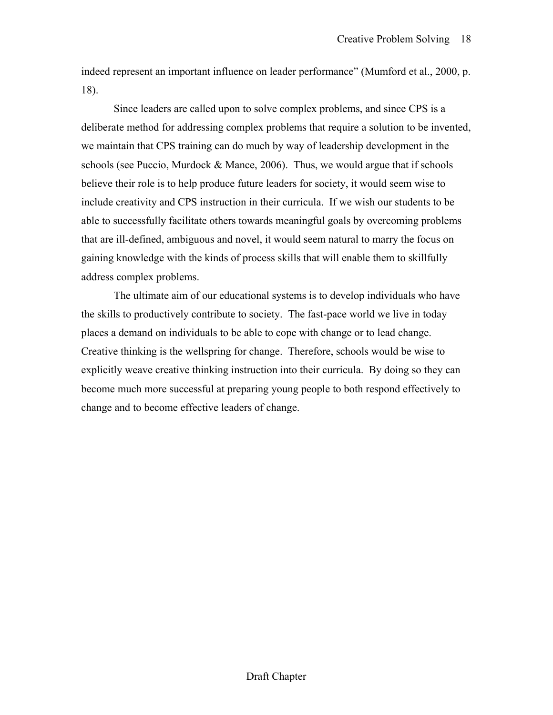indeed represent an important influence on leader performance" (Mumford et al., 2000, p. 18).

Since leaders are called upon to solve complex problems, and since CPS is a deliberate method for addressing complex problems that require a solution to be invented, we maintain that CPS training can do much by way of leadership development in the schools (see Puccio, Murdock  $&$  Mance, 2006). Thus, we would argue that if schools believe their role is to help produce future leaders for society, it would seem wise to include creativity and CPS instruction in their curricula. If we wish our students to be able to successfully facilitate others towards meaningful goals by overcoming problems that are ill-defined, ambiguous and novel, it would seem natural to marry the focus on gaining knowledge with the kinds of process skills that will enable them to skillfully address complex problems.

The ultimate aim of our educational systems is to develop individuals who have the skills to productively contribute to society. The fast-pace world we live in today places a demand on individuals to be able to cope with change or to lead change. Creative thinking is the wellspring for change. Therefore, schools would be wise to explicitly weave creative thinking instruction into their curricula. By doing so they can become much more successful at preparing young people to both respond effectively to change and to become effective leaders of change.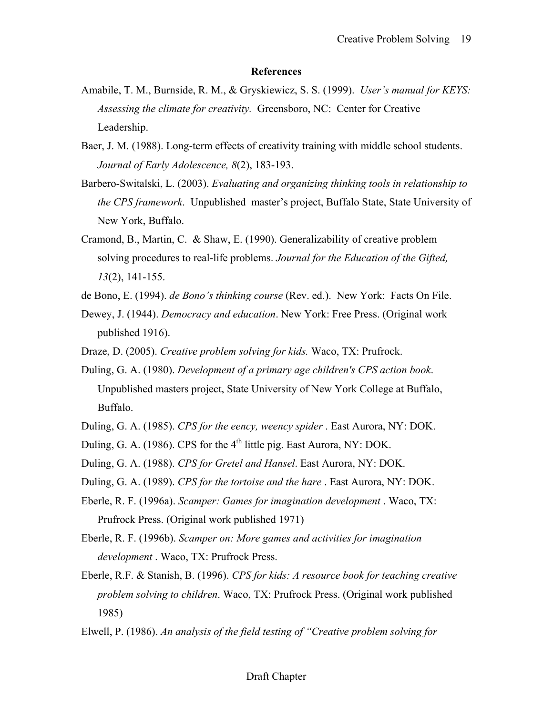#### **References**

- Amabile, T. M., Burnside, R. M., & Gryskiewicz, S. S. (1999). *User's manual for KEYS: Assessing the climate for creativity.* Greensboro, NC: Center for Creative Leadership.
- Baer, J. M. (1988). Long-term effects of creativity training with middle school students. *Journal of Early Adolescence, 8*(2), 183-193.
- Barbero-Switalski, L. (2003). *Evaluating and organizing thinking tools in relationship to the CPS framework*. Unpublished master's project, Buffalo State, State University of New York, Buffalo.
- Cramond, B., Martin, C. & Shaw, E. (1990). Generalizability of creative problem solving procedures to real-life problems. *Journal for the Education of the Gifted, 13*(2), 141-155.
- de Bono, E. (1994). *de Bono's thinking course* (Rev. ed.). New York: Facts On File.
- Dewey, J. (1944). *Democracy and education*. New York: Free Press. (Original work published 1916).
- Draze, D. (2005). *Creative problem solving for kids.* Waco, TX: Prufrock.
- Duling, G. A. (1980). *Development of a primary age children's CPS action book*. Unpublished masters project, State University of New York College at Buffalo, Buffalo.
- Duling, G. A. (1985). *CPS for the eency, weency spider* . East Aurora, NY: DOK.
- Duling, G. A. (1986). CPS for the  $4<sup>th</sup>$  little pig. East Aurora, NY: DOK.
- Duling, G. A. (1988). *CPS for Gretel and Hansel*. East Aurora, NY: DOK.
- Duling, G. A. (1989). *CPS for the tortoise and the hare* . East Aurora, NY: DOK.
- Eberle, R. F. (1996a). *Scamper: Games for imagination development* . Waco, TX: Prufrock Press. (Original work published 1971)
- Eberle, R. F. (1996b). *Scamper on: More games and activities for imagination development* . Waco, TX: Prufrock Press.
- Eberle, R.F. & Stanish, B. (1996). *CPS for kids: A resource book for teaching creative problem solving to children*. Waco, TX: Prufrock Press. (Original work published 1985)
- Elwell, P. (1986). *An analysis of the field testing of "Creative problem solving for*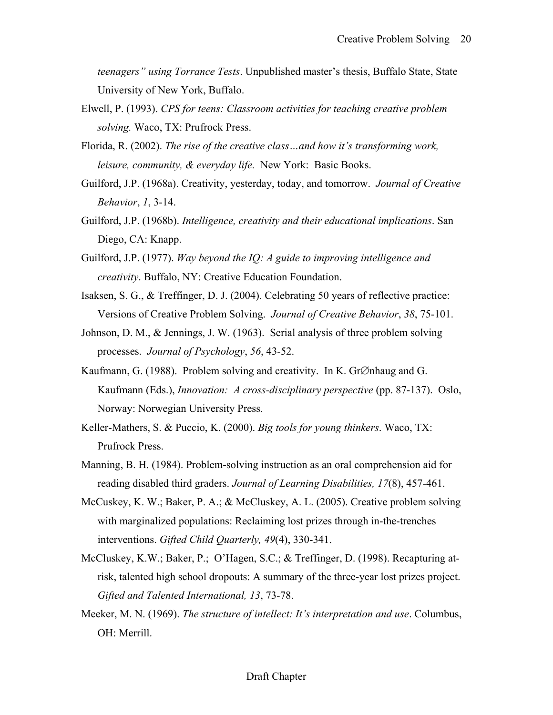*teenagers" using Torrance Tests*. Unpublished master's thesis, Buffalo State, State University of New York, Buffalo.

- Elwell, P. (1993). *CPS for teens: Classroom activities for teaching creative problem solving.* Waco, TX: Prufrock Press.
- Florida, R. (2002). *The rise of the creative class…and how it's transforming work, leisure, community, & everyday life.* New York: Basic Books.
- Guilford, J.P. (1968a). Creativity, yesterday, today, and tomorrow. *Journal of Creative Behavior*, *1*, 3-14.
- Guilford, J.P. (1968b). *Intelligence, creativity and their educational implications*. San Diego, CA: Knapp.
- Guilford, J.P. (1977). *Way beyond the IQ: A guide to improving intelligence and creativity*. Buffalo, NY: Creative Education Foundation.
- Isaksen, S. G., & Treffinger, D. J. (2004). Celebrating 50 years of reflective practice: Versions of Creative Problem Solving. *Journal of Creative Behavior*, *38*, 75-101.
- Johnson, D. M., & Jennings, J. W. (1963). Serial analysis of three problem solving processes. *Journal of Psychology*, *56*, 43-52.
- Kaufmann, G. (1988). Problem solving and creativity. In K. Gr⊘nhaug and G. Kaufmann (Eds.), *Innovation: A cross-disciplinary perspective* (pp. 87-137). Oslo, Norway: Norwegian University Press.
- Keller-Mathers, S. & Puccio, K. (2000). *Big tools for young thinkers*. Waco, TX: Prufrock Press.
- Manning, B. H. (1984). Problem-solving instruction as an oral comprehension aid for reading disabled third graders. *Journal of Learning Disabilities, 17*(8), 457-461.
- McCuskey, K. W.; Baker, P. A.; & McCluskey, A. L. (2005). Creative problem solving with marginalized populations: Reclaiming lost prizes through in-the-trenches interventions. *Gifted Child Quarterly, 49*(4), 330-341.
- McCluskey, K.W.; Baker, P.; O'Hagen, S.C.; & Treffinger, D. (1998). Recapturing atrisk, talented high school dropouts: A summary of the three-year lost prizes project. *Gifted and Talented International, 13*, 73-78.
- Meeker, M. N. (1969). *The structure of intellect: It's interpretation and use*. Columbus, OH: Merrill.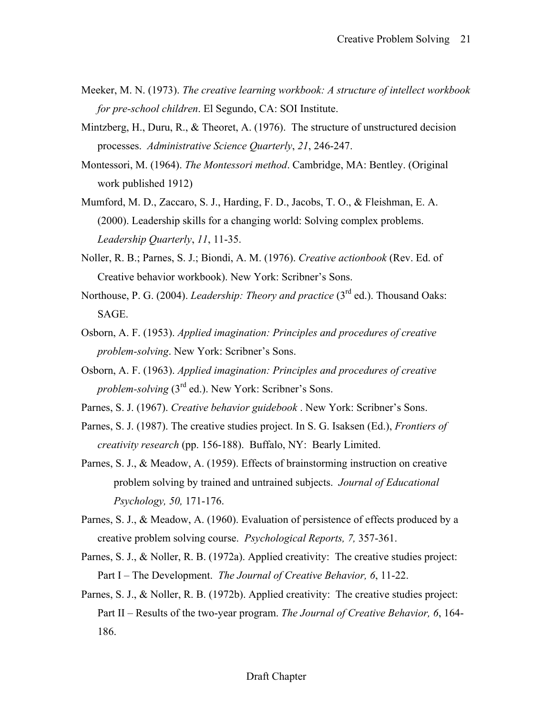- Meeker, M. N. (1973). *The creative learning workbook: A structure of intellect workbook for pre-school children*. El Segundo, CA: SOI Institute.
- Mintzberg, H., Duru, R., & Theoret, A. (1976). The structure of unstructured decision processes. *Administrative Science Quarterly*, *21*, 246-247.
- Montessori, M. (1964). *The Montessori method*. Cambridge, MA: Bentley. (Original work published 1912)
- Mumford, M. D., Zaccaro, S. J., Harding, F. D., Jacobs, T. O., & Fleishman, E. A. (2000). Leadership skills for a changing world: Solving complex problems. *Leadership Quarterly*, *11*, 11-35.
- Noller, R. B.; Parnes, S. J.; Biondi, A. M. (1976). *Creative actionbook* (Rev. Ed. of Creative behavior workbook). New York: Scribner's Sons.
- Northouse, P. G. (2004). *Leadership: Theory and practice* (3rd ed.). Thousand Oaks: SAGE.
- Osborn, A. F. (1953). *Applied imagination: Principles and procedures of creative problem-solving*. New York: Scribner's Sons.
- Osborn, A. F. (1963). *Applied imagination: Principles and procedures of creative problem-solving* (3rd ed.). New York: Scribner's Sons.
- Parnes, S. J. (1967). *Creative behavior guidebook* . New York: Scribner's Sons.
- Parnes, S. J. (1987). The creative studies project. In S. G. Isaksen (Ed.), *Frontiers of creativity research* (pp. 156-188). Buffalo, NY: Bearly Limited.
- Parnes, S. J., & Meadow, A. (1959). Effects of brainstorming instruction on creative problem solving by trained and untrained subjects. *Journal of Educational Psychology, 50,* 171-176.
- Parnes, S. J., & Meadow, A. (1960). Evaluation of persistence of effects produced by a creative problem solving course. *Psychological Reports, 7,* 357-361.
- Parnes, S. J., & Noller, R. B. (1972a). Applied creativity: The creative studies project: Part I – The Development. *The Journal of Creative Behavior, 6*, 11-22.
- Parnes, S. J., & Noller, R. B. (1972b). Applied creativity: The creative studies project: Part II – Results of the two-year program. *The Journal of Creative Behavior, 6*, 164- 186.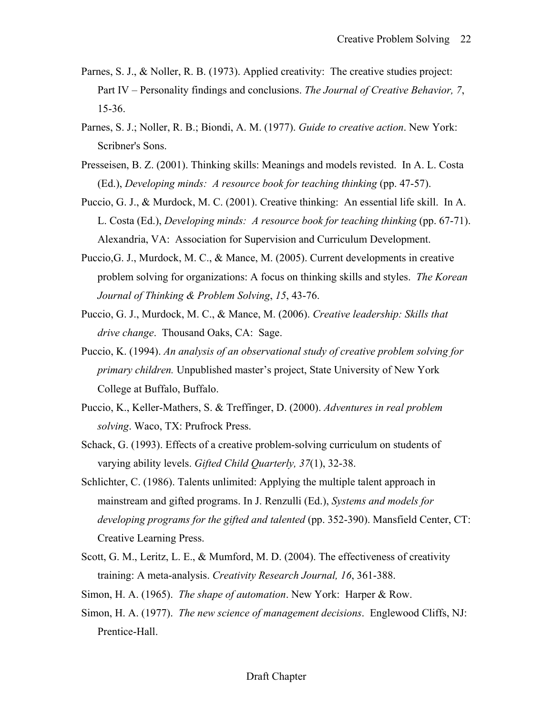- Parnes, S. J., & Noller, R. B. (1973). Applied creativity: The creative studies project: Part IV – Personality findings and conclusions. *The Journal of Creative Behavior, 7*, 15-36.
- Parnes, S. J.; Noller, R. B.; Biondi, A. M. (1977). *Guide to creative action*. New York: Scribner's Sons.
- Presseisen, B. Z. (2001). Thinking skills: Meanings and models revisted. In A. L. Costa (Ed.), *Developing minds: A resource book for teaching thinking (pp. 47-57).*
- Puccio, G. J., & Murdock, M. C. (2001). Creative thinking: An essential life skill. In A. L. Costa (Ed.), *Developing minds: A resource book for teaching thinking (pp. 67-71).* Alexandria, VA: Association for Supervision and Curriculum Development.
- Puccio,G. J., Murdock, M. C., & Mance, M. (2005). Current developments in creative problem solving for organizations: A focus on thinking skills and styles. *The Korean Journal of Thinking & Problem Solving*, *15*, 43-76.
- Puccio, G. J., Murdock, M. C., & Mance, M. (2006). *Creative leadership: Skills that drive change*. Thousand Oaks, CA: Sage.
- Puccio, K. (1994). *An analysis of an observational study of creative problem solving for primary children.* Unpublished master's project, State University of New York College at Buffalo, Buffalo.
- Puccio, K., Keller-Mathers, S. & Treffinger, D. (2000). *Adventures in real problem solving*. Waco, TX: Prufrock Press.
- Schack, G. (1993). Effects of a creative problem-solving curriculum on students of varying ability levels. *Gifted Child Quarterly, 37*(1), 32-38.
- Schlichter, C. (1986). Talents unlimited: Applying the multiple talent approach in mainstream and gifted programs. In J. Renzulli (Ed.), *Systems and models for developing programs for the gifted and talented* (pp. 352-390). Mansfield Center, CT: Creative Learning Press.
- Scott, G. M., Leritz, L. E., & Mumford, M. D. (2004). The effectiveness of creativity training: A meta-analysis. *Creativity Research Journal, 16*, 361-388.
- Simon, H. A. (1965). *The shape of automation*. New York: Harper & Row.
- Simon, H. A. (1977). *The new science of management decisions*. Englewood Cliffs, NJ: Prentice-Hall.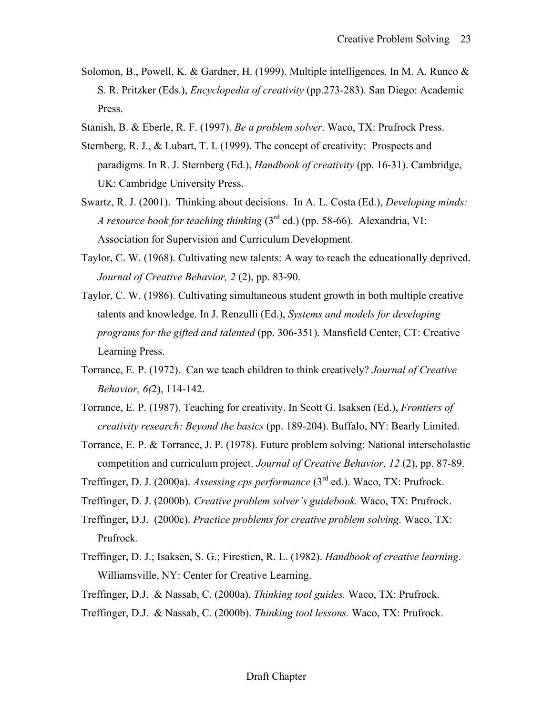- Solomon, B., Powell, K. & Gardner, H. (1999). Multiple intelligences. In M. A. Runco & S. R. Pritzker (Eds.), *Encyclopedia of creativity* (pp.273-283). San Diego: Academic Press.
- Stanish, B. & Eberle, R. F. (1997). *Be a problem solver*. Waco, TX: Prufrock Press.
- Sternberg, R. J., & Lubart, T. I. (1999). The concept of creativity: Prospects and paradigms. In R. J. Sternberg (Ed.), *Handbook of creativity* (pp. 16-31). Cambridge, UK: Cambridge University Press.
- Swartz, R. J. (2001). Thinking about decisions. In A. L. Costa (Ed.), *Developing minds: A resource book for teaching thinking* (3<sup>rd</sup> ed.) (pp. 58-66). Alexandria, VI: Association for Supervision and Curriculum Development.
- Taylor, C. W. (1968). Cultivating new talents: A way to reach the educationally deprived. *Journal of Creative Behavior, 2* (2), pp. 83-90.
- Taylor, C. W. (1986). Cultivating simultaneous student growth in both multiple creative talents and knowledge. In J. Renzulli (Ed.), *Systems and models for developing programs for the gifted and talented* (pp. 306-351). Mansfield Center, CT: Creative Learning Press.
- Torrance, E. P. (1972). Can we teach children to think creatively? *Journal of Creative Behavior, 6(*2), 114-142.
- Torrance, E. P. (1987). Teaching for creativity. In Scott G. Isaksen (Ed.), *Frontiers of creativity research: Beyond the basics* (pp. 189-204). Buffalo, NY: Bearly Limited.
- Torrance, E. P. & Torrance, J. P. (1978). Future problem solving: National interscholastic competition and curriculum project. *Journal of Creative Behavior, 12* (2), pp. 87-89.
- Treffinger, D. J. (2000a). *Assessing cps performance* (3rd ed.). Waco, TX: Prufrock.
- Treffinger, D. J. (2000b). *Creative problem solver's guidebook.* Waco, TX: Prufrock.
- Treffinger, D.J. (2000c). *Practice problems for creative problem solving*. Waco, TX: Prufrock.
- Treffinger, D. J.; Isaksen, S. G.; Firestien, R. L. (1982). *Handbook of creative learning*. Williamsville, NY: Center for Creative Learning.
- Treffinger, D.J. & Nassab, C. (2000a). *Thinking tool guides.* Waco, TX: Prufrock.
- Treffinger, D.J. & Nassab, C. (2000b). *Thinking tool lessons.* Waco, TX: Prufrock.